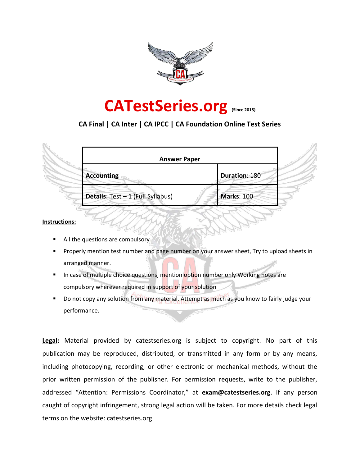

### **CATestSeries.org (Since 2015)**

#### **CA Final | CA Inter | CA IPCC | CA Foundation Online Test Series**

| <b>Answer Paper</b>               |               |
|-----------------------------------|---------------|
| <b>Accounting</b>                 | Duration: 180 |
| Details: Test - 1 (Full Syllabus) | Marks: 100    |

#### **Instructions:**

- All the questions are compulsory
- Properly mention test number and page number on your answer sheet, Try to upload sheets in arranged manner.
- In case of multiple choice questions, mention option number only Working notes are compulsory wherever required in support of your solution
- Do not copy any solution from any material. Attempt as much as you know to fairly judge your performance.

**Legal:** Material provided by catestseries.org is subject to copyright. No part of this publication may be reproduced, distributed, or transmitted in any form or by any means, including photocopying, recording, or other electronic or mechanical methods, without the prior written permission of the publisher. For permission requests, write to the publisher, addressed "Attention: Permissions Coordinator," at **exam@catestseries.org**. If any person caught of copyright infringement, strong legal action will be taken. For more details check legal terms on the website: catestseries.org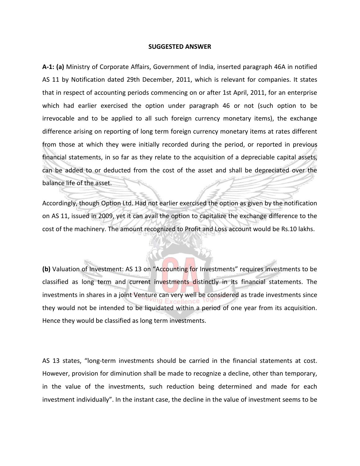#### **SUGGESTED ANSWER**

**A-1: (a)** Ministry of Corporate Affairs, Government of India, inserted paragraph 46A in notified AS 11 by Notification dated 29th December, 2011, which is relevant for companies. It states that in respect of accounting periods commencing on or after 1st April, 2011, for an enterprise which had earlier exercised the option under paragraph 46 or not (such option to be irrevocable and to be applied to all such foreign currency monetary items), the exchange difference arising on reporting of long term foreign currency monetary items at rates different from those at which they were initially recorded during the period, or reported in previous financial statements, in so far as they relate to the acquisition of a depreciable capital assets, can be added to or deducted from the cost of the asset and shall be depreciated over the balance life of the asset.

Accordingly, though Option Ltd. Had not earlier exercised the option as given by the notification on AS 11, issued in 2009, yet it can avail the option to capitalize the exchange difference to the cost of the machinery. The amount recognized to Profit and Loss account would be Rs.10 lakhs.

**(b)** Valuation of Investment: AS 13 on "Accounting for Investments" requires investments to be classified as long term and current investments distinctly in its financial statements. The investments in shares in a joint Venture can very well be considered as trade investments since they would not be intended to be liquidated within a period of one year from its acquisition. Hence they would be classified as long term investments.

AS 13 states, "long-term investments should be carried in the financial statements at cost. However, provision for diminution shall be made to recognize a decline, other than temporary, in the value of the investments, such reduction being determined and made for each investment individually". In the instant case, the decline in the value of investment seems to be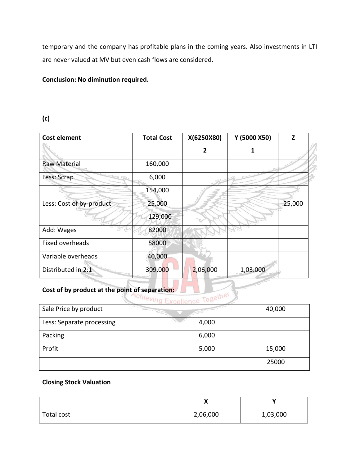temporary and the company has profitable plans in the coming years. Also investments in LTI are never valued at MV but even cash flows are considered.

#### **Conclusion: No diminution required.**

#### **(c)**

| <b>Cost element</b>      | <b>Total Cost</b> | X(6250X80)     | Y (5000 X50) | Z      |
|--------------------------|-------------------|----------------|--------------|--------|
|                          |                   | $\overline{2}$ |              |        |
| <b>Raw Material</b>      | 160,000           |                |              |        |
| Less: Scrap              | 6,000             |                |              |        |
|                          | 154,000           |                |              |        |
| Less: Cost of by-product | 25,000            |                |              | 25,000 |
|                          | 129,000           |                |              |        |
| Add: Wages               | 82000             |                |              |        |
| Fixed overheads          | 58000             |                |              |        |
| Variable overheads       | 40,000            |                |              |        |
| Distributed in 2:1       | 309,000           | 2,06,000       | 1,03.000     |        |

# Cost of by product at the point of separation:

| Sale Price by product     |       | 40,000 |
|---------------------------|-------|--------|
| Less: Separate processing | 4,000 |        |
| Packing                   | 6,000 |        |
| Profit                    | 5,000 | 15,000 |
|                           |       | 25000  |

#### **Closing Stock Valuation**

|            | v<br>$\boldsymbol{\mathcal{L}}$ |          |
|------------|---------------------------------|----------|
| Total cost | 2,06,000                        | 1,03,000 |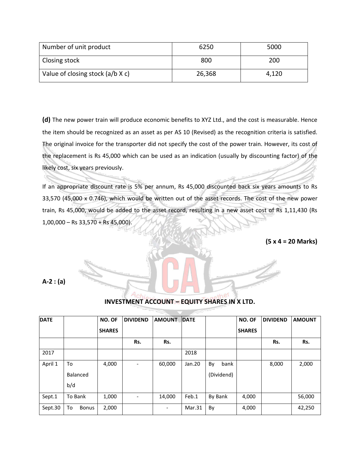| Number of unit product           | 6250   | 5000  |
|----------------------------------|--------|-------|
| Closing stock                    | 800    | 200   |
| Value of closing stock (a/b X c) | 26,368 | 4,120 |

**(d)** The new power train will produce economic benefits to XYZ Ltd., and the cost is measurable. Hence the item should be recognized as an asset as per AS 10 (Revised) as the recognition criteria is satisfied. The original invoice for the transporter did not specify the cost of the power train. However, its cost of the replacement is Rs 45,000 which can be used as an indication (usually by discounting factor) of the likely cost, six years previously.

If an appropriate discount rate is 5% per annum, Rs 45,000 discounted back six years amounts to Rs 33,570 (45,000 x 0.746), which would be written out of the asset records. The cost of the new power train, Rs 45,000, would be added to the asset record, resulting in a new asset cost of Rs 1,11,430 (Rs 1,00,000 – Rs 33,570 + Rs 45,000).

**(5 x 4 = 20 Marks)**

**A-2 : (a)** 

|                    |               |                          |                          |               |             |               |        | <b>AMOUNT</b>   |
|--------------------|---------------|--------------------------|--------------------------|---------------|-------------|---------------|--------|-----------------|
|                    |               |                          |                          |               |             |               |        |                 |
|                    | <b>SHARES</b> |                          |                          |               |             | <b>SHARES</b> |        |                 |
|                    |               | Rs.                      | Rs.                      |               |             |               | Rs.    | Rs.             |
|                    |               |                          |                          | 2018          |             |               |        |                 |
| To                 | 4,000         | $\overline{a}$           | 60,000                   | Jan.20        | By<br>bank  |               | 8,000  | 2,000           |
| Balanced           |               |                          |                          |               | (Dividend)  |               |        |                 |
| b/d                |               |                          |                          |               |             |               |        |                 |
| To Bank            | 1,000         | $\overline{\phantom{0}}$ | 14,000                   | Feb.1         | By Bank     | 4,000         |        | 56,000          |
| To<br><b>Bonus</b> | 2,000         |                          | $\overline{\phantom{a}}$ | Mar.31        | By          | 4,000         |        | 42,250          |
|                    |               | NO. OF                   | <b>DIVIDEND</b>          | <b>AMOUNT</b> | <b>DATE</b> |               | NO. OF | <b>DIVIDEND</b> |

#### **INVESTMENT ACCOUNT – EQUITY SHARES IN X LTD.**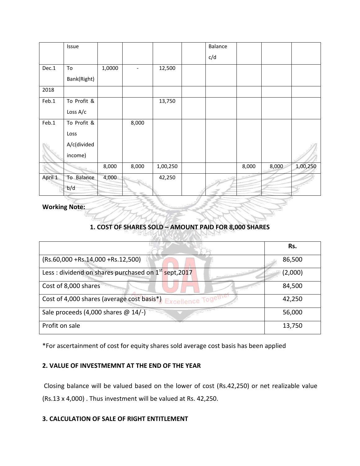|         | Issue       |        |       |          | Balance |       |       |          |
|---------|-------------|--------|-------|----------|---------|-------|-------|----------|
|         |             |        |       |          | c/d     |       |       |          |
| Dec.1   | To          | 1,0000 |       | 12,500   |         |       |       |          |
|         | Bank(Right) |        |       |          |         |       |       |          |
| 2018    |             |        |       |          |         |       |       |          |
| Feb.1   | To Profit & |        |       | 13,750   |         |       |       |          |
|         | Loss A/c    |        |       |          |         |       |       |          |
| Feb.1   | To Profit & |        | 8,000 |          |         |       |       |          |
|         | Loss        |        |       |          |         |       |       |          |
|         | A/c(divided |        |       |          |         |       |       |          |
|         | income)     |        |       |          |         |       |       |          |
|         |             | 8,000  | 8,000 | 1,00,250 |         | 8,000 | 8,000 | 1,00,250 |
| April 1 | To Balance  | 4,000  |       | 42,250   |         |       |       |          |
|         | b/d         |        |       |          |         |       |       |          |

**Working Note:**

#### **1. COST OF SHARES SOLD – AMOUNT PAID FOR 8,000 SHARES**

|                                                                  | Rs.     |
|------------------------------------------------------------------|---------|
| $(Rs.60,000 + Rs.14,000 + Rs.12,500)$                            | 86,500  |
| Less: dividend on shares purchased on 1 <sup>st</sup> sept, 2017 | (2,000) |
| Cost of 8,000 shares                                             | 84,500  |
| Cost of 4,000 shares (average cost basis*) Excellence Togeu      | 42,250  |
| Sale proceeds (4,000 shares @ 14/-)                              | 56,000  |
| Profit on sale                                                   | 13,750  |

\*For ascertainment of cost for equity shares sold average cost basis has been applied

#### **2. VALUE OF INVESTMEMNT AT THE END OF THE YEAR**

Closing balance will be valued based on the lower of cost (Rs.42,250) or net realizable value (Rs.13 x 4,000) . Thus investment will be valued at Rs. 42,250.

#### **3. CALCULATION OF SALE OF RIGHT ENTITLEMENT**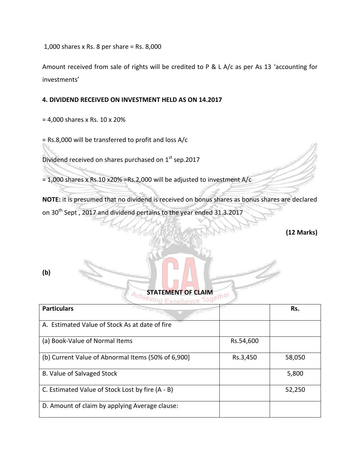1,000 shares x Rs. 8 per share = Rs. 8,000

Amount received from sale of rights will be credited to P & L A/c as per As 13 'accounting for investments'

#### **4. DIVIDEND RECEIVED ON INVESTMENT HELD AS ON 14.2017**

= 4,000 shares x Rs. 10 x 20%

= Rs.8,000 will be transferred to profit and loss A/c

Dividend received on shares purchased on 1<sup>st</sup> sep.2017

= 1,000 shares x Rs.10 x20% =Rs.2,000 will be adjusted to investment  $A/c$ 

**NOTE:** it is presumed that no dividend is received on bonus shares as bonus shares are declared on 30<sup>th</sup> Sept, 2017 and dividend pertains to the year ended 31.3.2017

**(12 Marks)**

**(b)** 

**STATEMENT OF CLAIM**<br><sup>eving</sup> Exactles a Tanether

| <b>Particulars</b>                                 |           | Rs.    |
|----------------------------------------------------|-----------|--------|
| A. Estimated Value of Stock As at date of fire     |           |        |
| (a) Book-Value of Normal Items                     | Rs.54,600 |        |
| (b) Current Value of Abnormal Items (50% of 6,900] | Rs.3,450  | 58,050 |
| B. Value of Salvaged Stock                         |           | 5,800  |
| C. Estimated Value of Stock Lost by fire (A - B)   |           | 52,250 |
| D. Amount of claim by applying Average clause:     |           |        |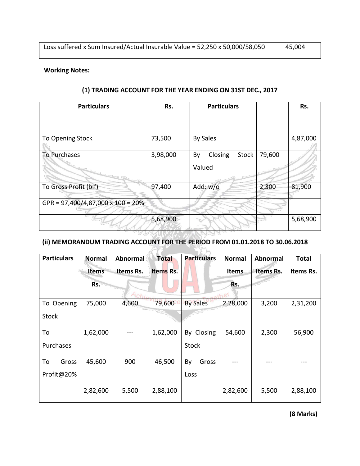#### **Working Notes:**

| <b>Particulars</b>                | Rs.      | <b>Particulars</b>               |        | Rs.      |
|-----------------------------------|----------|----------------------------------|--------|----------|
|                                   |          |                                  |        |          |
| To Opening Stock                  | 73,500   | <b>By Sales</b>                  |        | 4,87,000 |
| To Purchases                      | 3,98,000 | Closing<br>Stock<br>By<br>Valued | 79,600 |          |
| To Gross Profit (b.f)             | 97,400   | Add: w/o                         | 2,300  | 81,900   |
| GPR = 97,400/4,87,000 x 100 = 20% |          |                                  |        |          |
|                                   | 5,68,900 |                                  |        | 5,68,900 |

#### **(1) TRADING ACCOUNT FOR THE YEAR ENDING ON 31ST DEC., 2017**

#### **(ii) MEMORANDUM TRADING ACCOUNT FOR THE PERIOD FROM 01.01.2018 TO 30.06.2018**

| <b>Particulars</b> | <b>Normal</b> | <b>Abnormal</b> | <b>Total</b> | <b>Particulars</b> | <b>Normal</b> | <b>Abnormal</b> | <b>Total</b> |
|--------------------|---------------|-----------------|--------------|--------------------|---------------|-----------------|--------------|
|                    | <b>Items</b>  | Items Rs.       | Items Rs.    |                    | <b>Items</b>  | Items Rs.       | Items Rs.    |
|                    | Rs.           |                 |              |                    | Rs.           |                 |              |
|                    |               | Achi            |              |                    |               |                 |              |
| To Opening         | 75,000        | 4,600           | 79,600       | <b>By Sales</b>    | 2,28,000      | 3,200           | 2,31,200     |
| <b>Stock</b>       |               |                 |              |                    |               |                 |              |
| To                 | 1,62,000      |                 | 1,62,000     | By Closing         | 54,600        | 2,300           | 56,900       |
| Purchases          |               |                 |              | <b>Stock</b>       |               |                 |              |
| To<br>Gross        | 45,600        | 900             | 46,500       | By<br>Gross        |               |                 |              |
| Profit@20%         |               |                 |              | Loss               |               |                 |              |
|                    | 2,82,600      | 5,500           | 2,88,100     |                    | 2,82,600      | 5,500           | 2,88,100     |

**(8 Marks)**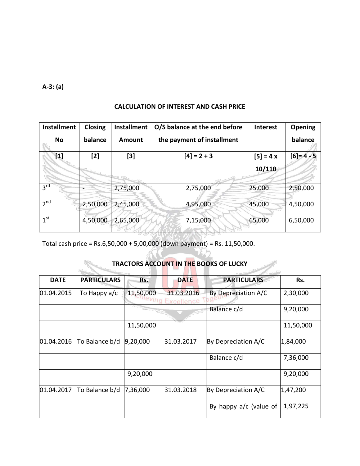**A-3: (a)**

#### **CALCULATION OF INTEREST AND CASH PRICE**

|                    | Closing  | <b>Installment</b> | O/S balance at the end before | <b>Interest</b> | Opening     |
|--------------------|----------|--------------------|-------------------------------|-----------------|-------------|
| No                 | balance  | Amount             | the payment of installment    |                 | balance     |
| $\boldsymbol{[1]}$ | $[2]$    | [3]                | $[4] = 2 + 3$                 | $[5] = 4x$      | $[6] = 4/5$ |
|                    |          |                    |                               | 10/110          |             |
| 3 <sup>rd</sup>    |          | 2,75,000           | 2,75,000                      | 25,000          | 2,50,000    |
| 2 <sup>nd</sup>    | 2,50,000 | 2,45,000           | 4,95,000                      | 45,000          | 4,50,000    |
| 1 <sup>st</sup>    | 4,50,000 | 2,65,000           | 7,15,000                      | 65,000          | 6,50,000    |

Total cash price = Rs.6,50,000 + 5,00,000 (down payment) = Rs. 11,50,000.

#### **TRACTORS ACCOUNT IN THE BOOKS OF LUCKY**

| <b>DATE</b> | <b>PARTICULARS</b> | Rs.       | <b>DATE</b>              | <b>PARTICULARS</b>       | Rs.       |
|-------------|--------------------|-----------|--------------------------|--------------------------|-----------|
| 01.04.2015  | To Happy $a/c$     | 11,50,000 | 31.03.2016<br>Excellence | By Depreciation A/C      | 2,30,000  |
|             |                    |           |                          | Balance c/d              | 9,20,000  |
|             |                    | 11,50,000 |                          |                          | 11,50,000 |
| 01.04.2016  | To Balance b/d     | 9,20,000  | 31.03.2017               | By Depreciation A/C      | 1,84,000  |
|             |                    |           |                          | Balance c/d              | 7,36,000  |
|             |                    | 9,20,000  |                          |                          | 9,20,000  |
| 01.04.2017  | To Balance b/d     | 7,36,000  | 31.03.2018               | By Depreciation A/C      | 1,47,200  |
|             |                    |           |                          | By happy $a/c$ (value of | 1,97,225  |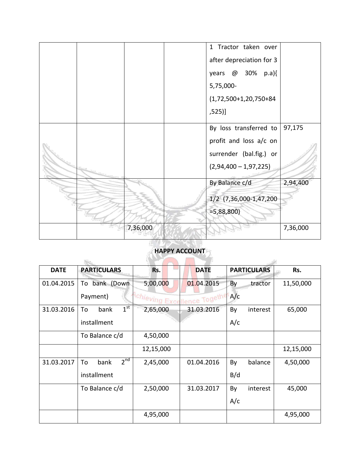|  |          | 1 Tractor taken over     |          |
|--|----------|--------------------------|----------|
|  |          | after depreciation for 3 |          |
|  |          | years @ 30% p.a){        |          |
|  |          | 5,75,000-                |          |
|  |          | $(1,72,500+1,20,750+84)$ |          |
|  |          | ,525)]                   |          |
|  |          | By loss transferred to   | 97,175   |
|  |          | profit and loss a/c on   |          |
|  |          | surrender (bal.fig.) or  |          |
|  |          | $(2,94,400 - 1,97,225)$  |          |
|  |          | By Balance c/d           | 2,94,400 |
|  |          | 1/2 (7,36,000-1,47,200   |          |
|  |          | $=5,88,800$              |          |
|  | 7,36,000 |                          | 7,36,000 |
|  |          |                          |          |

### **HAPPY ACCOUNT**

| <b>DATE</b> | <b>PARTICULARS</b>            | Rs.                         | <b>DATE</b> | <b>PARTICULARS</b> | Rs.       |
|-------------|-------------------------------|-----------------------------|-------------|--------------------|-----------|
| 01.04.2015  | bank (Down<br>To              | 5,00,000                    | 01.04.2015  | By<br>tractor      | 11,50,000 |
|             | Payment)                      | Achieving Excellence Togeth |             | A/c                |           |
| 31.03.2016  | $1^{\text{st}}$<br>bank<br>To | 2,65,000                    | 31.03.2016  | By<br>interest     | 65,000    |
|             | installment                   |                             |             | A/c                |           |
|             | To Balance c/d                | 4,50,000                    |             |                    |           |
|             |                               | 12,15,000                   |             |                    | 12,15,000 |
| 31.03.2017  | 2 <sup>nd</sup><br>bank<br>To | 2,45,000                    | 01.04.2016  | By<br>balance      | 4,50,000  |
|             | installment                   |                             |             | B/d                |           |
|             | To Balance c/d                | 2,50,000                    | 31.03.2017  | By<br>interest     | 45,000    |
|             |                               |                             |             | A/c                |           |
|             |                               | 4,95,000                    |             |                    | 4,95,000  |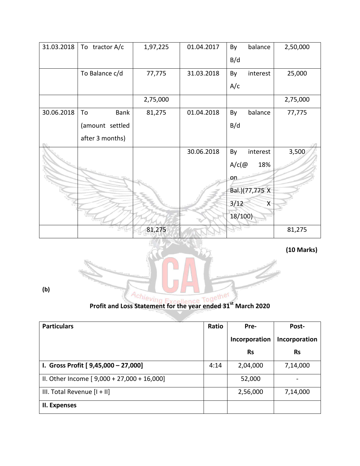| 31.03.2018 | To tractor $A/c$ | 1,97,225 | 01.04.2017 | balance<br>By                   | 2,50,000 |
|------------|------------------|----------|------------|---------------------------------|----------|
|            |                  |          |            | B/d                             |          |
|            | To Balance c/d   | 77,775   | 31.03.2018 | interest<br>By                  | 25,000   |
|            |                  |          |            | A/c                             |          |
|            |                  | 2,75,000 |            |                                 | 2,75,000 |
| 30.06.2018 | Bank<br>To       | 81,275   | 01.04.2018 | balance<br>By                   | 77,775   |
|            | (amount settled  |          |            | B/d                             |          |
|            | after 3 months)  |          |            |                                 |          |
|            |                  |          | 30.06.2018 | interest<br>By                  | 3,500    |
|            |                  |          |            | $A/c$ (@<br>18%                 |          |
|            |                  |          |            | on                              |          |
|            |                  |          |            | Bal.)(77,775 X                  |          |
|            |                  |          |            | 3/12<br>$\overline{\mathsf{X}}$ |          |
|            |                  |          |            | 18/100)                         |          |
|            |                  | 81,275   |            |                                 | 81,275   |

**(10 Marks)**



**(b)** 

| <b>Particulars</b>                           | Ratio | Pre-          | Post-         |
|----------------------------------------------|-------|---------------|---------------|
|                                              |       | Incorporation | Incorporation |
|                                              |       | <b>Rs</b>     | <b>Rs</b>     |
| I. Gross Profit [ 9,45,000 - 27,000]         | 4:14  | 2,04,000      | 7,14,000      |
| II. Other Income $[9,000 + 27,000 + 16,000]$ |       | 52,000        |               |
| III. Total Revenue $[1 + 1]$                 |       | 2,56,000      | 7,14,000      |
| II. Expenses                                 |       |               |               |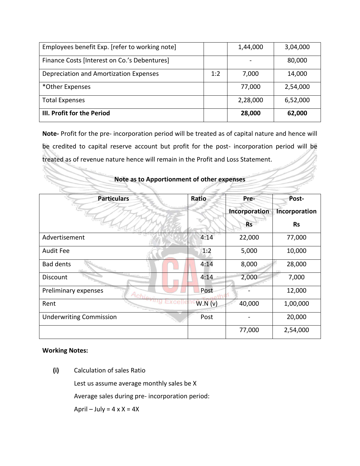| Employees benefit Exp. [refer to working note] |     | 1,44,000 | 3,04,000 |
|------------------------------------------------|-----|----------|----------|
| Finance Costs [Interest on Co.'s Debentures]   |     |          | 80,000   |
| Depreciation and Amortization Expenses         | 1:2 | 7,000    | 14,000   |
| *Other Expenses                                |     | 77,000   | 2,54,000 |
| <b>Total Expenses</b>                          |     | 2,28,000 | 6,52,000 |
| III. Profit for the Period                     |     | 28,000   | 62,000   |

**Note-** Profit for the pre- incorporation period will be treated as of capital nature and hence will be credited to capital reserve account but profit for the post- incorporation period will be treated as of revenue nature hence will remain in the Profit and Loss Statement.

| <b>Particulars</b>             | Ratio  | Pre-          | Post-         |
|--------------------------------|--------|---------------|---------------|
|                                |        | Incorporation | Incorporation |
|                                |        | <b>Rs</b>     | <b>Rs</b>     |
| Advertisement                  | 4:14   | 22,000        | 77,000        |
| <b>Audit Fee</b>               | 1:2    | 5,000         | 10,000        |
| <b>Bad dents</b>               | 4:14   | 8,000         | 28,000        |
| Discount                       | 4:14   | 2,000         | 7,000         |
| Preliminary expenses<br>Achie  | Post   |               | 12,000        |
| Rent                           | W.N(v) | 40,000        | 1,00,000      |
| <b>Underwriting Commission</b> | Post   |               | 20,000        |
|                                |        | 77,000        | 2,54,000      |

#### **Note as to Apportionment of other expenses**

#### **Working Notes:**

**(i)** Calculation of sales Ratio

Lest us assume average monthly sales be X

Average sales during pre- incorporation period:

April – July =  $4 \times X = 4X$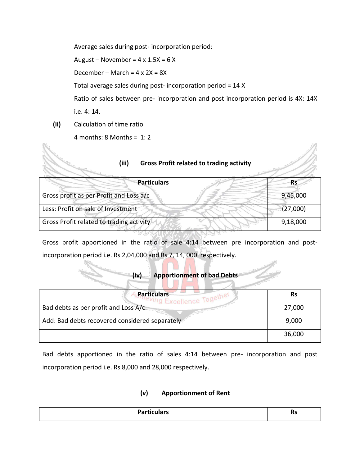Average sales during post- incorporation period:

August – November =  $4 \times 1.5X = 6X$ 

December – March =  $4 \times 2X = 8X$ 

Total average sales during post- incorporation period = 14 X

Ratio of sales between pre- incorporation and post incorporation period is 4X: 14X i.e. 4: 14.

 $\mathcal{P}^{\rm T}_{\rm R}$ 

**(ii)** Calculation of time ratio

N.

4 months:  $8$  Months = 1: 2

| (iii)<br><b>Gross Profit related to trading activity</b> |           |
|----------------------------------------------------------|-----------|
| <b>Particulars</b>                                       | <b>Rs</b> |
| Gross profit as per Profit and Loss a/c                  | 9,45,000  |
| Less: Profit on sale of Investment                       | (27,000)  |
| Gross Profit related to trading activity                 | 9,18,000  |
|                                                          |           |

Gross profit apportioned in the ratio of sale 4:14 between pre incorporation and postincorporation period i.e. Rs 2,04,000 and Rs 7, 14, 000 respectively.

#### **(iv) Apportionment of bad Debts**

| <b>Particulars</b>                             | <b>Rs</b> |
|------------------------------------------------|-----------|
| Bad debts as per profit and Loss A/c           | 27,000    |
| Add: Bad debts recovered considered separately | 9,000     |
|                                                | 36,000    |

Bad debts apportioned in the ratio of sales 4:14 between pre- incorporation and post incorporation period i.e. Rs 8,000 and 28,000 respectively.

#### **(v) Apportionment of Rent**

|--|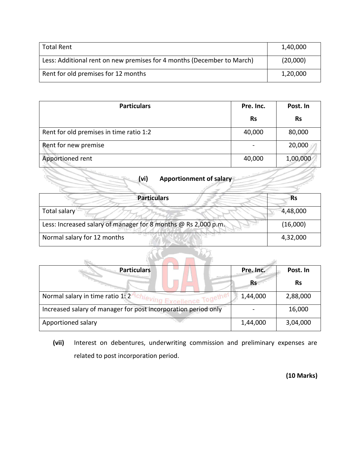| Total Rent                                                             | 1,40,000 |
|------------------------------------------------------------------------|----------|
| Less: Additional rent on new premises for 4 months (December to March) | (20,000) |
| Rent for old premises for 12 months                                    | 1,20,000 |

| <b>Particulars</b>                      | Pre. Inc. | Post. In  |
|-----------------------------------------|-----------|-----------|
|                                         | <b>Rs</b> | <b>Rs</b> |
| Rent for old premises in time ratio 1:2 | 40,000    | 80,000    |
| Rent for new premise                    |           | 20,000    |
| Apportioned rent                        | 40,000    | 1,00,000  |

| (vi) | Apportionment of salary |
|------|-------------------------|
|      |                         |
|      |                         |

| <b>Particulars</b>                                             | Rs       |
|----------------------------------------------------------------|----------|
| Total salary                                                   | 4,48,000 |
| Less: Increased salary of manager for 8 months @ Rs 2,000 p.m. | (16,000) |
| Normal salary for 12 months                                    | 4,32,000 |

| <b>Particulars</b>                                             | Pre. Inc. | Post. In  |
|----------------------------------------------------------------|-----------|-----------|
|                                                                | <b>Rs</b> | <b>Rs</b> |
| Normal salary in time ratio 1:2<br>Excellence Togeth           | 1,44,000  | 2,88,000  |
| Increased salary of manager for post incorporation period only |           | 16,000    |
| Apportioned salary                                             | 1,44,000  | 3,04,000  |

**(vii)** Interest on debentures, underwriting commission and preliminary expenses are related to post incorporation period.

**(10 Marks)**

Z,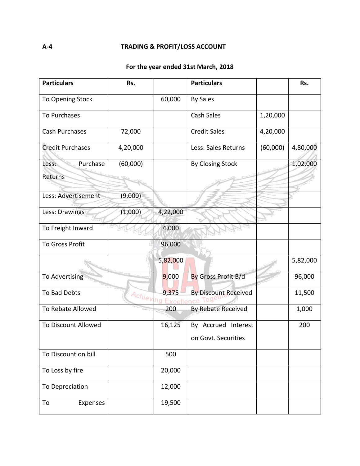#### **For the year ended 31st March, 2018**

| <b>Particulars</b>           | Rs.      |                            | <b>Particulars</b>                         |          | Rs.      |
|------------------------------|----------|----------------------------|--------------------------------------------|----------|----------|
| To Opening Stock             |          | 60,000                     | <b>By Sales</b>                            |          |          |
| To Purchases                 |          |                            | Cash Sales                                 | 1,20,000 |          |
| <b>Cash Purchases</b>        | 72,000   |                            | <b>Credit Sales</b>                        | 4,20,000 |          |
| <b>Credit Purchases</b>      | 4,20,000 |                            | Less: Sales Returns                        | (60,000) | 4,80,000 |
| Purchase<br>Less:<br>Returns | (60,000) |                            | <b>By Closing Stock</b>                    |          | 1,02,000 |
| Less: Advertisement          | (9,000)  |                            |                                            |          |          |
| Less: Drawings               | (1,000)  | 4,22,000                   |                                            |          |          |
| To Freight Inward            |          | 4,000                      |                                            |          |          |
| <b>To Gross Profit</b>       |          | 96,000                     |                                            |          |          |
|                              |          | 5,82,000                   |                                            |          | 5,82,000 |
| To Advertising               |          | 9,000                      | By Gross Profit B/d                        |          | 96,000   |
| To Bad Debts                 |          | 9,375<br>Achieving Excelle | <b>By Discount Received</b><br>ice Tog     |          | 11,500   |
| To Rebate Allowed            |          | 200                        | By Rebate Received                         |          | 1,000    |
| To Discount Allowed          |          | 16,125                     | By Accrued Interest<br>on Govt. Securities |          | 200      |
| To Discount on bill          |          | 500                        |                                            |          |          |
| To Loss by fire              |          | 20,000                     |                                            |          |          |
| To Depreciation              |          | 12,000                     |                                            |          |          |
| To<br>Expenses               |          | 19,500                     |                                            |          |          |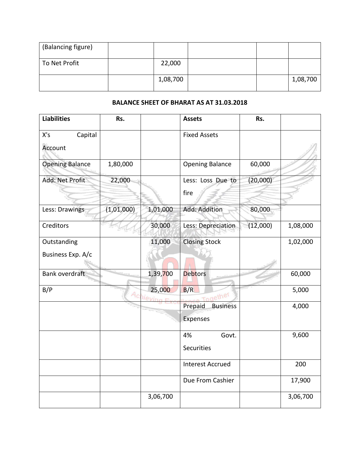| (Balancing figure) |          |  |          |
|--------------------|----------|--|----------|
| To Net Profit      | 22,000   |  |          |
|                    | 1,08,700 |  | 1,08,700 |

#### **BALANCE SHEET OF BHARAT AS AT 31.03.2018**

| <b>Liabilities</b>               | Rs.        |                    | <b>Assets</b>                          | Rs.      |          |
|----------------------------------|------------|--------------------|----------------------------------------|----------|----------|
| X's<br>Capital<br>Account        |            |                    | <b>Fixed Assets</b>                    |          |          |
| <b>Opening Balance</b>           | 1,80,000   |                    | <b>Opening Balance</b>                 | 60,000   |          |
| Add: Net Profit                  | 22,000     |                    | Less: Loss Due to<br>fire              | (20,000) |          |
| Less: Drawings                   | (1,01,000) | 1,01,000           | Add: Addition                          | 80,000   |          |
| Creditors                        |            | 30,000             | Less: Depreciation                     | (12,000) | 1,08,000 |
| Outstanding<br>Business Exp. A/c |            | 11,000             | <b>Closing Stock</b>                   |          | 1,02,000 |
| Bank overdraft                   |            | 1,39,700           | <b>Debtors</b>                         |          | 60,000   |
| B/P                              |            | 25,000<br>Achievin | B/R<br>Together                        |          | 5,000    |
|                                  |            |                    | Prepaid<br><b>Business</b><br>Expenses |          | 4,000    |
|                                  |            |                    | 4%<br>Govt.<br><b>Securities</b>       |          | 9,600    |
|                                  |            |                    | <b>Interest Accrued</b>                |          | 200      |
|                                  |            |                    | Due From Cashier                       |          | 17,900   |
|                                  |            | 3,06,700           |                                        |          | 3,06,700 |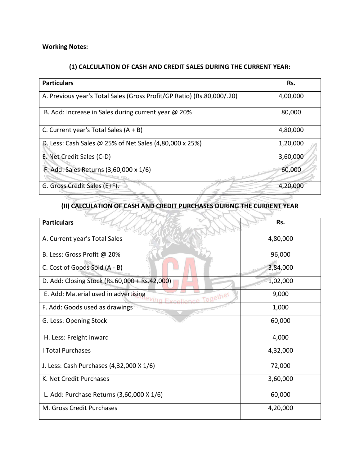#### **Working Notes:**

#### **(1) CALCULATION OF CASH AND CREDIT SALES DURING THE CURRENT YEAR:**

| <b>Particulars</b>                                                     | Rs.      |
|------------------------------------------------------------------------|----------|
| A. Previous year's Total Sales (Gross Profit/GP Ratio) (Rs.80,000/.20) | 4,00,000 |
| B. Add: Increase in Sales during current year @ 20%                    | 80,000   |
| C. Current year's Total Sales $(A + B)$                                | 4,80,000 |
| D. Less: Cash Sales @ 25% of Net Sales (4,80,000 x 25%)                | 1,20,000 |
| E. Net Credit Sales (C-D)                                              | 3,60,000 |
| F. Add: Sales Returns (3,60,000 x 1/6)                                 | 60,000   |
| G. Gross Credit Sales (E+F).                                           | 4,20,000 |

# **(II) CALCULATION OF CASH AND CREDIT PURCHASES DURING THE CURRENT YEAR**

| <b>Particulars</b>                                                             | Rs.      |
|--------------------------------------------------------------------------------|----------|
| A. Current year's Total Sales                                                  | 4,80,000 |
| B. Less: Gross Profit @ 20%                                                    | 96,000   |
| C. Cost of Goods Sold (A - B)                                                  | 3,84,000 |
| D. Add: Closing Stock (Rs.60,000 + Rs.42,000)                                  | 1,02,000 |
| E. Add: Material used in advertising<br>nce Together<br>$V$ <i>ing</i> $F_{Y}$ | 9,000    |
| F. Add: Goods used as drawings                                                 | 1,000    |
| G. Less: Opening Stock                                                         | 60,000   |
| H. Less: Freight inward                                                        | 4,000    |
| <b>I Total Purchases</b>                                                       | 4,32,000 |
| J. Less: Cash Purchases (4,32,000 X 1/6)                                       | 72,000   |
| K. Net Credit Purchases                                                        | 3,60,000 |
| L. Add: Purchase Returns (3,60,000 X 1/6)                                      | 60,000   |
| M. Gross Credit Purchases                                                      | 4,20,000 |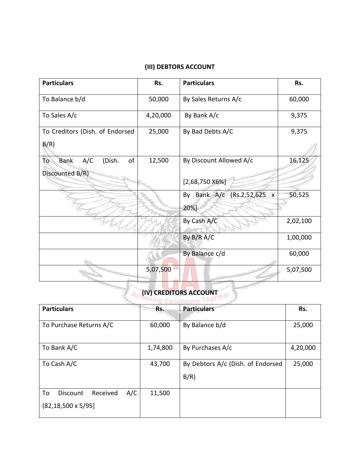#### **(III) DEBTORS ACCOUNT**

| <b>Particulars</b>                       | Rs.      | <b>Particulars</b>                | Rs.      |
|------------------------------------------|----------|-----------------------------------|----------|
| To Balance b/d                           | 50,000   | By Sales Returns A/c              | 60,000   |
| To Sales A/c                             | 4,20,000 | By Bank A/c                       | 9,375    |
| To Creditors (Dish. of Endorsed<br>B/R)  | 25,000   | By Bad Debts A/C                  | 9,375    |
| To<br><b>Bank</b><br>A/C<br>(Dish.<br>of | 12,500   | By Discount Allowed A/c           | 16,125   |
| Discounted B/R)                          |          | $[2,68,750 X6\%]$                 |          |
|                                          |          | By Bank A/c (Rs.2,52,625 x<br>20% | 50,525   |
|                                          |          | By Cash A/C                       | 2,02,100 |
|                                          |          | By B/R A/C                        | 1,00,000 |
|                                          |          | By Balance c/d                    | 60,000   |
|                                          | 5,07,500 |                                   | 5,07,500 |

# **Achieving Excellence Together**

| <b>Particulars</b>                                               | Rs.      | <b>Particulars</b>                        | Rs.      |
|------------------------------------------------------------------|----------|-------------------------------------------|----------|
| To Purchase Returns A/C                                          | 60,000   | By Balance b/d                            | 25,000   |
| To Bank A/C                                                      | 1,74,800 | By Purchases A/c                          | 4,20,000 |
| To Cash A/C                                                      | 43,700   | By Debtors A/c (Dish. of Endorsed<br>B/R) | 25,000   |
| A/C<br>To<br>Received<br>Discount<br>$(82, 18, 500 \times 5/95]$ | 11,500   |                                           |          |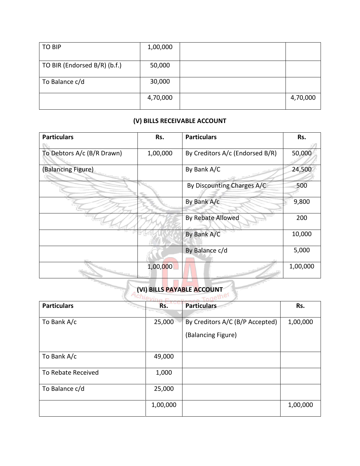| <b>TO BIP</b>                | 1,00,000 |          |
|------------------------------|----------|----------|
|                              |          |          |
| TO BIR (Endorsed B/R) (b.f.) | 50,000   |          |
| To Balance c/d               | 30,000   |          |
|                              | 4,70,000 | 4,70,000 |

#### **(V) BILLS RECEIVABLE ACCOUNT**

| <b>Particulars</b>         | Rs.      | <b>Particulars</b>              | Rs.      |
|----------------------------|----------|---------------------------------|----------|
| To Debtors A/c (B/R Drawn) | 1,00,000 | By Creditors A/c (Endorsed B/R) | 50,000   |
| (Balancing Figure)         |          | By Bank A/C                     | 24,500   |
|                            |          | By Discounting Charges A/C      | 500      |
|                            |          | By Bank A/c                     | 9,800    |
|                            |          | By Rebate Allowed               | 200      |
|                            |          | By Bank A/C                     | 10,000   |
|                            |          | By Balance c/d                  | 5,000    |
|                            | 1,00,000 |                                 | 1,00,000 |

## **(VI) BILLS PAYABLE ACCOUNT**

l,

| <b>Particulars</b> | Rs.      | <b>Particulars</b>                                    | Rs.      |
|--------------------|----------|-------------------------------------------------------|----------|
| To Bank A/c        | 25,000   | By Creditors A/C (B/P Accepted)<br>(Balancing Figure) | 1,00,000 |
| To Bank A/c        | 49,000   |                                                       |          |
| To Rebate Received | 1,000    |                                                       |          |
| To Balance c/d     | 25,000   |                                                       |          |
|                    | 1,00,000 |                                                       | 1,00,000 |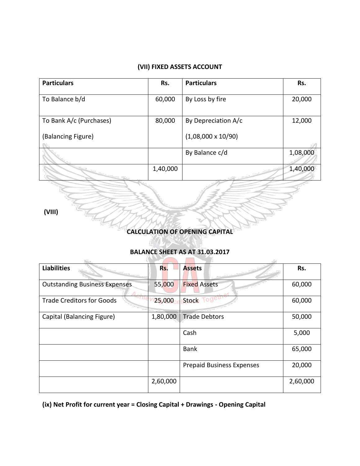#### **(VII) FIXED ASSETS ACCOUNT**

| <b>Particulars</b>      | Rs.      | <b>Particulars</b>        | Rs.      |
|-------------------------|----------|---------------------------|----------|
| To Balance b/d          | 60,000   | By Loss by fire           | 20,000   |
| To Bank A/c (Purchases) | 80,000   | By Depreciation A/c       | 12,000   |
| (Balancing Figure)      |          | $(1,08,000 \times 10/90)$ |          |
|                         |          | By Balance c/d            | 1,08,000 |
|                         | 1,40,000 |                           | 1,40,000 |

**(VIII)** 

**CALCULATION OF OPENING CAPITAL**

#### **BALANCE SHEET AS AT 31.03.2017**

**Contract Contract** 

| <b>Liabilities</b>                                          | Rs.      | <b>Assets</b>                    | Rs.      |
|-------------------------------------------------------------|----------|----------------------------------|----------|
| <b>Outstanding Business Expenses</b><br>$\Delta_{\alpha l}$ | 55,000   | <b>Fixed Assets</b>              | 60,000   |
| <b>Trade Creditors for Goods</b>                            | 25,000   | <b>Stock</b>                     | 60,000   |
| Capital (Balancing Figure)                                  | 1,80,000 | <b>Trade Debtors</b>             | 50,000   |
|                                                             |          | Cash                             | 5,000    |
|                                                             |          | <b>Bank</b>                      | 65,000   |
|                                                             |          | <b>Prepaid Business Expenses</b> | 20,000   |
|                                                             | 2,60,000 |                                  | 2,60,000 |

**(ix) Net Profit for current year = Closing Capital + Drawings - Opening Capital**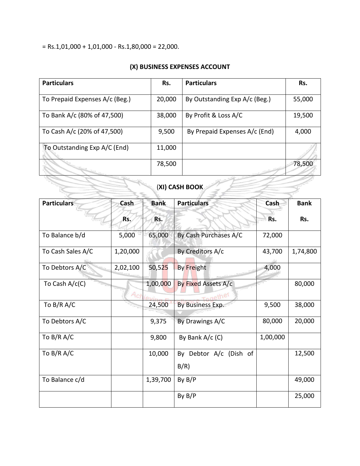$=$  Rs.1,01,000 + 1,01,000 - Rs.1,80,000 = 22,000.

#### **(X) BUSINESS EXPENSES ACCOUNT**

| <b>Particulars</b>             | Rs.    | <b>Particulars</b>            | Rs.    |  |  |  |
|--------------------------------|--------|-------------------------------|--------|--|--|--|
| To Prepaid Expenses A/c (Beg.) | 20,000 | By Outstanding Exp A/c (Beg.) | 55,000 |  |  |  |
| To Bank A/c (80% of 47,500)    | 38,000 | By Profit & Loss A/C          | 19,500 |  |  |  |
| To Cash A/c (20% of 47,500)    | 9,500  | By Prepaid Expenses A/c (End) | 4,000  |  |  |  |
| To Outstanding Exp A/C (End)   | 11,000 |                               |        |  |  |  |
|                                | 78,500 |                               | 78,500 |  |  |  |
| (XI) CASH BOOK                 |        |                               |        |  |  |  |

## (**XI) CASH BOOK**

| <b>Particulars</b><br>Cash |          | <b>Bank</b> | <b>Particulars</b>             | Cash     | <b>Bank</b> |
|----------------------------|----------|-------------|--------------------------------|----------|-------------|
|                            | Rs.      | Rs.         |                                | Rs.      | Rs.         |
| To Balance b/d             | 5,000    | 65,000      | By Cash Purchases A/C          | 72,000   |             |
| To Cash Sales A/C          | 1,20,000 |             | By Creditors A/c               | 43,700   | 1,74,800    |
| To Debtors A/C             | 2,02,100 | 50,525      | <b>By Freight</b>              | 4,000    |             |
| To Cash $A/c(C)$           | Ach      | 1,00,000    | By Fixed Assets A/c<br>nethel  |          | 80,000      |
| To $B/R$ A/C               |          | 24,500      | By Business Exp.               | 9,500    | 38,000      |
| To Debtors A/C             |          | 9,375       | By Drawings A/C                | 80,000   | 20,000      |
| To B/R A/C                 |          | 9,800       | By Bank $A/c$ (C)              | 1,00,000 |             |
| To B/R A/C                 |          | 10,000      | By Debtor A/c (Dish of<br>B/R) |          | 12,500      |
| To Balance c/d             |          | 1,39,700    | By B/P                         |          | 49,000      |
|                            |          |             | By B/P                         |          | 25,000      |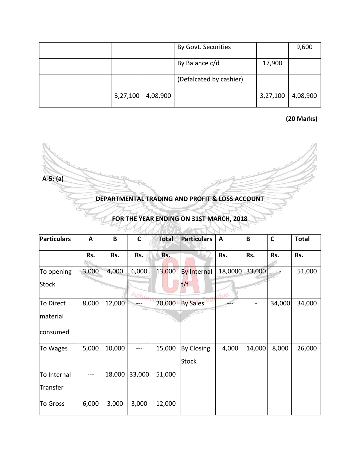|          |          | By Govt. Securities     |          | 9,600    |
|----------|----------|-------------------------|----------|----------|
|          |          | By Balance c/d          | 17,900   |          |
|          |          | (Defalcated by cashier) |          |          |
| 3,27,100 | 4,08,900 |                         | 3,27,100 | 4,08,900 |

**(20 Marks)**

**A-5: (a)**

**DEPARTMENTAL TRADING AND PROFIT & LOSS ACCOUNT**

| <b>Particulars</b> | A     | B      | $\mathsf{C}$  | <b>Total</b> | <b>Particulars</b> | $\mathbf{A}$ | B      | $\mathbf C$ | <b>Total</b> |
|--------------------|-------|--------|---------------|--------------|--------------------|--------------|--------|-------------|--------------|
|                    | Rs.   | Rs.    | Rs.           | Rs.          |                    | Rs.          | Rs.    | Rs.         | Rs.          |
| To opening         | 3,000 | 4,000  | 6,000         | 13,000       | <b>By Internal</b> | 18,0000      | 33,000 |             | 51,000       |
| <b>Stock</b>       |       |        | Ac <u>bie</u> |              | t/f                | the          |        |             |              |
| To Direct          | 8,000 | 12,000 |               | 20,000       | <b>By Sales</b>    |              |        | 34,000      | 34,000       |
| material           |       |        |               |              |                    |              |        |             |              |
| consumed           |       |        |               |              |                    |              |        |             |              |
| To Wages           | 5,000 | 10,000 | ---           | 15,000       | By Closing         | 4,000        | 14,000 | 8,000       | 26,000       |
|                    |       |        |               |              | Stock              |              |        |             |              |
| To Internal        | ---   | 18,000 | 33,000        | 51,000       |                    |              |        |             |              |
| Transfer           |       |        |               |              |                    |              |        |             |              |
| To Gross           | 6,000 | 3,000  | 3,000         | 12,000       |                    |              |        |             |              |

### **FOR THE YEAR ENDING ON 31ST MARCH, 2018**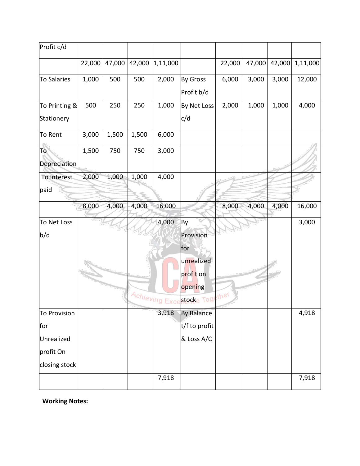| Profit c/d    |        |        |        |              |                   |        |        |        |          |
|---------------|--------|--------|--------|--------------|-------------------|--------|--------|--------|----------|
|               | 22,000 | 47,000 | 42,000 | 1,11,000     |                   | 22,000 | 47,000 | 42,000 | 1,11,000 |
| To Salaries   | 1,000  | 500    | 500    | 2,000        | By Gross          | 6,000  | 3,000  | 3,000  | 12,000   |
|               |        |        |        |              | Profit b/d        |        |        |        |          |
| To Printing & | 500    | 250    | 250    | 1,000        | By Net Loss       | 2,000  | 1,000  | 1,000  | 4,000    |
| Stationery    |        |        |        |              | c/d               |        |        |        |          |
| To Rent       | 3,000  | 1,500  | 1,500  | 6,000        |                   |        |        |        |          |
| To            | 1,500  | 750    | 750    | 3,000        |                   |        |        |        |          |
| Depreciation  |        |        |        |              |                   |        |        |        |          |
| To Interest   | 2,000  | 1,000  | 1,000  | 4,000        |                   |        |        |        |          |
| paid          |        |        |        |              |                   |        |        |        |          |
|               | 8,000  | 4,000  | 4,000  | 16,000       |                   | 8,000  | 4,000  | 4,000  | 16,000   |
| To Net Loss   |        |        |        | 4,000        | By                |        |        |        | 3,000    |
| b/d           |        |        |        |              | Provision         |        |        |        |          |
|               |        |        |        |              | for               |        |        |        |          |
|               |        |        |        |              | unrealized        |        |        |        |          |
|               |        |        |        |              | profit on         |        |        |        |          |
|               |        |        |        |              | opening           |        |        |        |          |
|               |        |        |        | Achieving Ex | stocke Together   |        |        |        |          |
| To Provision  |        |        |        | 3,918        | <b>By Balance</b> |        |        |        | 4,918    |
| for           |        |        |        |              | t/f to profit     |        |        |        |          |
| Unrealized    |        |        |        |              | & Loss A/C        |        |        |        |          |
| profit On     |        |        |        |              |                   |        |        |        |          |
| closing stock |        |        |        |              |                   |        |        |        |          |
|               |        |        |        | 7,918        |                   |        |        |        | 7,918    |

**Working Notes:**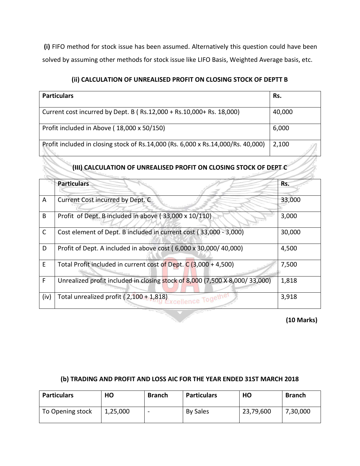**(i)** FIFO method for stock issue has been assumed. Alternatively this question could have been solved by assuming other methods for stock issue like LIFO Basis, Weighted Average basis, etc.

| <b>Particulars</b>                                                               | Rs.    |
|----------------------------------------------------------------------------------|--------|
| Current cost incurred by Dept. B (Rs.12,000 + Rs.10,000 + Rs. 18,000)            | 40,000 |
| Profit included in Above (18,000 x 50/150)                                       | 6,000  |
| Profit included in closing stock of Rs.14,000 (Rs. 6,000 x Rs.14,000/Rs. 40,000) | 2,100  |

### **(III) CALCULATION OF UNREALISED PROFIT ON CLOSING STOCK OF DEPT C**

|              | <b>Particulars</b>                                                          | Rs.    |
|--------------|-----------------------------------------------------------------------------|--------|
| A            | Current Cost incurred by Dept. C                                            | 33,000 |
| B            | Profit of Dept. B included in above (33,000 x 10/110)                       | 3,000  |
| $\mathsf{C}$ | Cost element of Dept. B included in current cost (33,000 - 3,000)           | 30,000 |
| D            | Profit of Dept. A included in above cost (6,000 x 30,000/40,000)            | 4,500  |
| E            | Total Profit included in current cost of Dept. $C$ (3,000 + 4,500)          | 7,500  |
| F            | Unrealized profit included in closing stock of 8,000 (7,500 X 8,000/33,000) | 1,818  |
| (iv)         | Total unrealized profit (2,100 + 1,818)<br>ence Toget                       | 3,918  |

**(10 Marks)**

#### **(b) TRADING AND PROFIT AND LOSS AIC FOR THE YEAR ENDED 31ST MARCH 2018**

| <b>Particulars</b> | HO       | <b>Branch</b> | <b>Particulars</b> | HO        | <b>Branch</b> |
|--------------------|----------|---------------|--------------------|-----------|---------------|
| To Opening stock   | 1,25,000 | -             | <b>By Sales</b>    | 23,79,600 | 7,30,000      |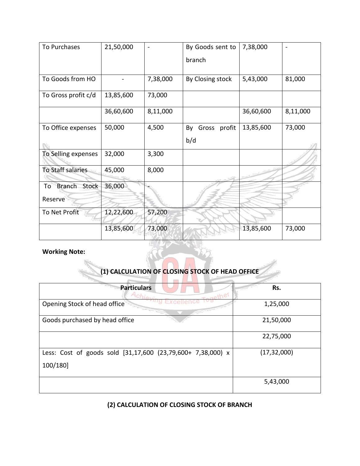| To Purchases                 | 21,50,000 |          | By Goods sent to   | 7,38,000  |          |
|------------------------------|-----------|----------|--------------------|-----------|----------|
|                              |           |          | branch             |           |          |
|                              |           |          |                    |           |          |
| To Goods from HO             |           | 7,38,000 | By Closing stock   | 5,43,000  | 81,000   |
| To Gross profit c/d          | 13,85,600 | 73,000   |                    |           |          |
|                              | 36,60,600 | 8,11,000 |                    | 36,60,600 | 8,11,000 |
| To Office expenses           | 50,000    | 4,500    | Gross profit<br>By | 13,85,600 | 73,000   |
|                              |           |          | b/d                |           |          |
| To Selling expenses          | 32,000    | 3,300    |                    |           |          |
| To Staff salaries            | 45,000    | 8,000    |                    |           |          |
| <b>Branch</b><br>Stock<br>To | 36,000    |          |                    |           |          |
| Reserve                      |           |          |                    |           |          |
| To Net Profit                | 12,22,600 | 57,200   |                    |           |          |
|                              | 13,85,600 | 73,000   |                    | 13,85,600 | 73,000   |

#### **Working Note:**

### **(1) CALCULATION OF CLOSING STOCK OF HEAD OFFICE**

| <b>Particulars</b>                                          | Rs.           |
|-------------------------------------------------------------|---------------|
| Achiev<br>Togethe,<br>Opening Stock of head office          | 1,25,000      |
|                                                             |               |
| Goods purchased by head office                              | 21,50,000     |
|                                                             | 22,75,000     |
| Less: Cost of goods sold [31,17,600 (23,79,600+ 7,38,000) x | (17, 32, 000) |
| 100/180]                                                    |               |
|                                                             | 5,43,000      |

#### **(2) CALCULATION OF CLOSING STOCK OF BRANCH**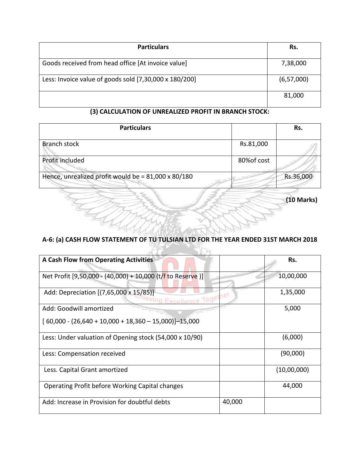| <b>Particulars</b>                                     | Rs.          |
|--------------------------------------------------------|--------------|
| Goods received from head office [At invoice value]     | 7,38,000     |
| Less: Invoice value of goods sold [7,30,000 x 180/200] | (6, 57, 000) |
|                                                        | 81,000       |

#### **(3) CALCULATION OF UNREALIZED PROFIT IN BRANCH STOCK:**

| <b>Particulars</b>                                  |             | Rs.       |
|-----------------------------------------------------|-------------|-----------|
| Branch stock                                        | Rs.81,000   |           |
| Profit included                                     | 80% of cost |           |
| Hence, unrealized profit would be = 81,000 x 80/180 |             | Rs.36,000 |

**(10 Marks)**

#### **A-6: (a) CASH FLOW STATEMENT OF TU TULSIAN LTD FOR THE YEAR ENDED 31ST MARCH 2018**

Ĝ

| <b>A Cash Flow from Operating Activities</b>                         |        | Rs.         |
|----------------------------------------------------------------------|--------|-------------|
| Net Profit [9,50,000 - (40,000) + 10,000 (t/f to Reserve)]           |        | 10,00,000   |
| Add: Depreciation [(7,65,000 x 15/85)]<br><b>Excellence Together</b> |        | 1,35,000    |
| Add: Goodwill amortized                                              |        | 5,000       |
| $[60,000 - (26,640 + 10,000 + 18,360 - 15,000)]$ -15,000             |        |             |
| Less: Under valuation of Opening stock (54,000 x 10/90)              |        | (6,000)     |
| Less: Compensation received                                          |        | (90,000)    |
| Less. Capital Grant amortized                                        |        | (10,00,000) |
| Operating Profit before Working Capital changes                      |        | 44,000      |
| Add: Increase in Provision for doubtful debts                        | 40,000 |             |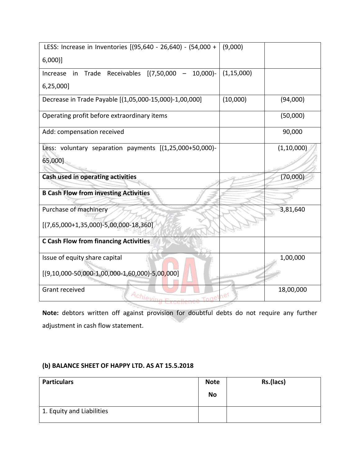| LESS: Increase in Inventories [(95,640 - 26,640) - (54,000 +     | (9,000)      |              |
|------------------------------------------------------------------|--------------|--------------|
| $6,000$ ]                                                        |              |              |
| Trade Receivables [(7,50,000 -<br>$10,000$ $-$<br>Increase<br>in | (1, 15, 000) |              |
| 6,25,000]                                                        |              |              |
| Decrease in Trade Payable [(1,05,000-15,000)-1,00,000]           | (10,000)     | (94,000)     |
| Operating profit before extraordinary items                      |              | (50,000)     |
| Add: compensation received                                       |              | 90,000       |
| Less: voluntary separation payments [(1,25,000+50,000)-          |              | (1, 10, 000) |
| 65,000]                                                          |              |              |
| Cash used in operating activities                                |              | (70,000)     |
| <b>B Cash Flow from investing Activities</b>                     |              |              |
| Purchase of machinery                                            |              | 3,81,640     |
| $[(7,65,000+1,35,000)-5,00,000-18,360]$                          |              |              |
| <b>C Cash Flow from financing Activities</b>                     |              |              |
| Issue of equity share capital                                    |              | 1,00,000     |
| $[(9,10,000-50,000-1,00,000-1,60,000)-5,00,000]$                 |              |              |
| Grant received<br>Achievin                                       | ther         | 18,00,000    |

**Note:** debtors written off against provision for doubtful debts do not require any further adjustment in cash flow statement.

#### **(b) BALANCE SHEET OF HAPPY LTD. AS AT 15.5.2018**

| <b>Particulars</b>        | <b>Note</b> | Rs.(lacs) |
|---------------------------|-------------|-----------|
|                           | <b>No</b>   |           |
| 1. Equity and Liabilities |             |           |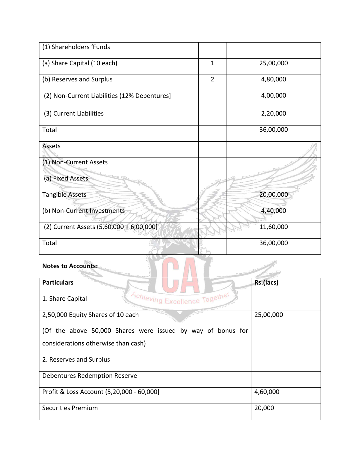| (1) Shareholders 'Funds                                     |                |           |
|-------------------------------------------------------------|----------------|-----------|
| (a) Share Capital (10 each)                                 | $\mathbf{1}$   | 25,00,000 |
| (b) Reserves and Surplus                                    | $\overline{2}$ | 4,80,000  |
| (2) Non-Current Liabilities (12% Debentures]                |                | 4,00,000  |
| (3) Current Liabilities                                     |                | 2,20,000  |
| Total                                                       |                | 36,00,000 |
| Assets                                                      |                |           |
| (1) Non-Current Assets                                      |                |           |
| (a) Fixed Assets                                            |                |           |
| <b>Tangible Assets</b>                                      |                | 20,00,000 |
| (b) Non-Current Investments                                 |                | 4,40,000  |
| (2) Current Assets (5,60,000 + 6,00,000]                    |                | 11,60,000 |
| Total                                                       |                | 36,00,000 |
| <b>Notes to Accounts:</b>                                   |                |           |
| <b>Particulars</b>                                          |                | Rs.(lacs) |
| <sup>chieving</sup> Excellence Togethe<br>1. Share Capital  |                |           |
| 2,50,000 Equity Shares of 10 each                           | 25,00,000      |           |
| (Of the above 50,000 Shares were issued by way of bonus for |                |           |
| considerations otherwise than cash)                         |                |           |
| 2. Reserves and Surplus                                     |                |           |
| <b>Debentures Redemption Reserve</b>                        |                |           |
| Profit & Loss Account (5,20,000 - 60,000]                   | 4,60,000       |           |

Securities Premium 20,000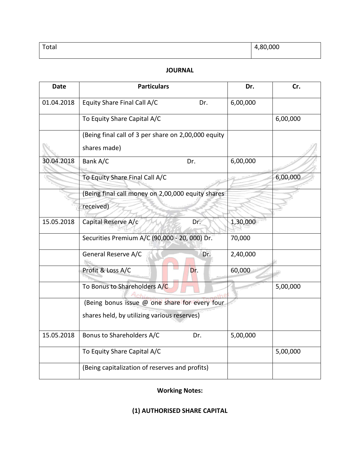| Total | ,80,000<br>$\overline{ }$ |
|-------|---------------------------|
|       |                           |

#### **JOURNAL**

| <b>Date</b> | <b>Particulars</b>                                  | Dr.      | Cr.      |
|-------------|-----------------------------------------------------|----------|----------|
| 01.04.2018  | Equity Share Final Call A/C<br>Dr.                  | 6,00,000 |          |
|             | To Equity Share Capital A/C                         |          | 6,00,000 |
|             | (Being final call of 3 per share on 2,00,000 equity |          |          |
|             | shares made)                                        |          |          |
| 30.04.2018  | Bank A/C<br>Dr.                                     | 6,00,000 |          |
|             | To Equity Share Final Call A/C                      |          | 6,00,000 |
|             | (Being final call money on 2,00,000 equity shares   |          |          |
|             | received)                                           |          |          |
| 15.05.2018  | Capital Reserve A/c<br>Dr.                          | 1,30,000 |          |
|             | Securities Premium A/C (90,000 - 20, 000) Dr.       | 70,000   |          |
|             | General Reserve A/C<br>Dr.                          | 2,40,000 |          |
|             | Profit & Loss A/C<br>Dr.                            | 60,000   |          |
|             | To Bonus to Shareholders A/C                        |          | 5,00,000 |
|             | (Being bonus issue @ one share for every four       |          |          |
|             | shares held, by utilizing various reserves)         |          |          |
| 15.05.2018  | Bonus to Shareholders A/C<br>Dr.                    | 5,00,000 |          |
|             | To Equity Share Capital A/C                         |          | 5,00,000 |
|             | (Being capitalization of reserves and profits)      |          |          |

#### **Working Notes:**

#### **(1) AUTHORISED SHARE CAPITAL**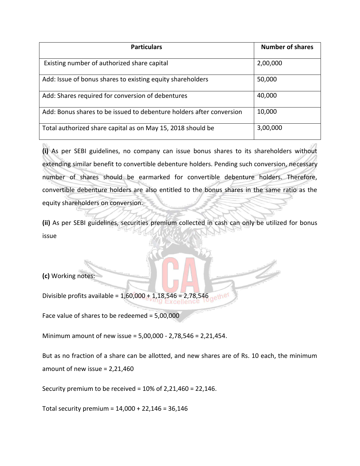| <b>Particulars</b>                                                   | <b>Number of shares</b> |
|----------------------------------------------------------------------|-------------------------|
| Existing number of authorized share capital                          | 2,00,000                |
| Add: Issue of bonus shares to existing equity shareholders           | 50,000                  |
| Add: Shares required for conversion of debentures                    | 40,000                  |
| Add: Bonus shares to be issued to debenture holders after conversion | 10,000                  |
| Total authorized share capital as on May 15, 2018 should be          | 3,00,000                |

**(i)** As per SEBI guidelines, no company can issue bonus shares to its shareholders without extending similar benefit to convertible debenture holders. Pending such conversion, necessary number of shares should be earmarked for convertible debenture holders. Therefore, convertible debenture holders are also entitled to the bonus shares in the same ratio as the equity shareholders on conversion.

**(ii)** As per SEBI guidelines, securities premium collected in cash can only be utilized for bonus issue

**(c)** Working notes:

Divisible profits available = 1,60,000 + 1,18,546 = 2,78,546 ether

Face value of shares to be redeemed = 5,00,000

Minimum amount of new issue = 5,00,000 - 2,78,546 = 2,21,454.

But as no fraction of a share can be allotted, and new shares are of Rs. 10 each, the minimum amount of new issue = 2,21,460

Security premium to be received = 10% of 2,21,460 = 22,146.

Total security premium = 14,000 + 22,146 = 36,146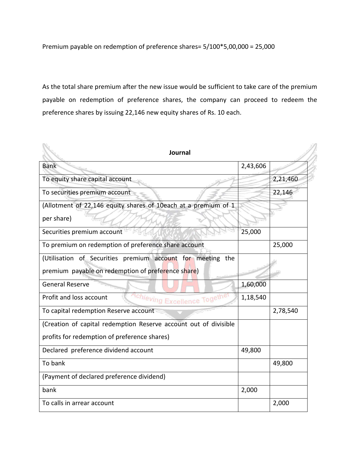Premium payable on redemption of preference shares= 5/100\*5,00,000 = 25,000

As the total share premium after the new issue would be sufficient to take care of the premium payable on redemption of preference shares, the company can proceed to redeem the preference shares by issuing 22,146 new equity shares of Rs. 10 each.

| Journal                                                           |          |          |
|-------------------------------------------------------------------|----------|----------|
| <b>Bank</b>                                                       | 2,43,606 |          |
| To equity share capital account                                   |          | 2,21,460 |
| To securities premium account                                     |          | 22,146   |
| (Allotment of 22,146 equity shares of 10each at a premium of 1    |          |          |
| per share)                                                        |          |          |
| Securities premium account                                        | 25,000   |          |
| To premium on redemption of preference share account              |          | 25,000   |
| (Utilisation of Securities premium account for meeting the        |          |          |
| premium payable on redemption of preference share)                |          |          |
| <b>General Reserve</b>                                            | 1,60,000 |          |
| Profit and loss account<br><sup>1chieving</sup> Excellence Togeth | 1,18,540 |          |
| To capital redemption Reserve account                             |          | 2,78,540 |
| (Creation of capital redemption Reserve account out of divisible  |          |          |
| profits for redemption of preference shares)                      |          |          |
| Declared preference dividend account                              | 49,800   |          |
| To bank                                                           |          | 49,800   |
| (Payment of declared preference dividend)                         |          |          |
| bank                                                              | 2,000    |          |
| To calls in arrear account                                        |          | 2,000    |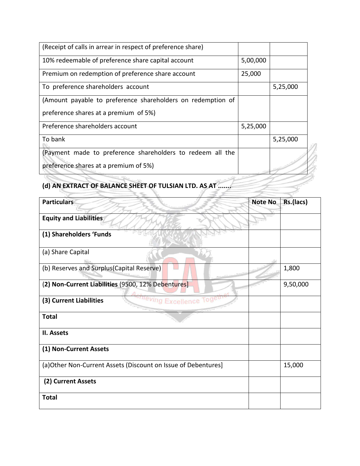| (Receipt of calls in arrear in respect of preference share) |          |          |
|-------------------------------------------------------------|----------|----------|
| 10% redeemable of preference share capital account          | 5,00,000 |          |
| Premium on redemption of preference share account           | 25,000   |          |
| To preference shareholders account                          |          | 5,25,000 |
| (Amount payable to preference shareholders on redemption of |          |          |
| preference shares at a premium of 5%)                       |          |          |
| Preference shareholders account                             | 5,25,000 |          |
| To bank                                                     |          | 5,25,000 |
| (Payment made to preference shareholders to redeem all the  |          |          |
| preference shares at a premium of 5%)                       |          |          |

# **(d) AN EXTRACT OF BALANCE SHEET OF TULSIAN LTD. AS AT .......**

| <b>Particulars</b>                                              | <b>Note No</b> | Rs.(lacs) |
|-----------------------------------------------------------------|----------------|-----------|
| <b>Equity and Liabilities</b>                                   |                |           |
| (1) Shareholders 'Funds                                         |                |           |
| (a) Share Capital                                               |                |           |
| (b) Reserves and Surplus(Capital Reserve)                       |                | 1,800     |
| (2) Non-Current Liabilities (9500, 12% Debentures]              |                | 9,50,000  |
| <sup>onleving</sup> Excellence Toget<br>(3) Current Liabilities |                |           |
| <b>Total</b>                                                    |                |           |
| II. Assets                                                      |                |           |
| (1) Non-Current Assets                                          |                |           |
| (a) Other Non-Current Assets (Discount on Issue of Debentures]  |                | 15,000    |
| (2) Current Assets                                              |                |           |
| <b>Total</b>                                                    |                |           |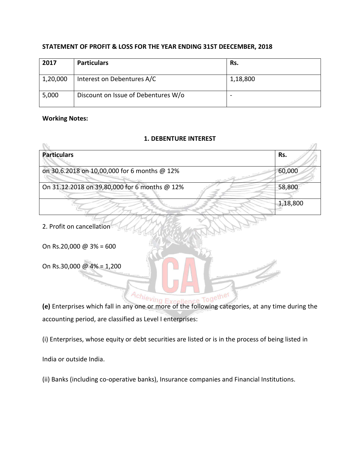#### **STATEMENT OF PROFIT & LOSS FOR THE YEAR ENDING 31ST DEECEMBER, 2018**

| 2017     | <b>Particulars</b>                  | Rs.      |
|----------|-------------------------------------|----------|
| 1,20,000 | Interest on Debentures A/C          | 1,18,800 |
| 5,000    | Discount on Issue of Debentures W/o | -        |

#### **Working Notes:**

N.

#### **1. DEBENTURE INTEREST**

 $\mathcal{P}^{\pi}$ 

| <b>Particulars</b>                                                     | Rs.                                         |
|------------------------------------------------------------------------|---------------------------------------------|
| on 30.6.2018 on 10,00,000 for 6 months @ 12%                           | 60,000                                      |
| On 31.12.2018 on 39,80,000 for 6 months @ 12%                          | 58,800                                      |
|                                                                        | 1,18,800                                    |
| 2. Profit on cancellation                                              |                                             |
| On Rs.20,000 @ $3\% = 600$                                             |                                             |
| On Rs.30,000 @ 4% = 1,200                                              |                                             |
|                                                                        |                                             |
| Achieving Excell<br>e Togethel<br>$\{a\}$ Entananisas which fall in an | مطلب ممانس المتمم فمستلط والمستحدث والمرامر |

**(e)** Enterprises which fall in any one or more of the following categories, at any time during the accounting period, are classified as Level I enterprises:

(i) Enterprises, whose equity or debt securities are listed or is in the process of being listed in

India or outside India.

(ii) Banks (including co-operative banks), Insurance companies and Financial Institutions.